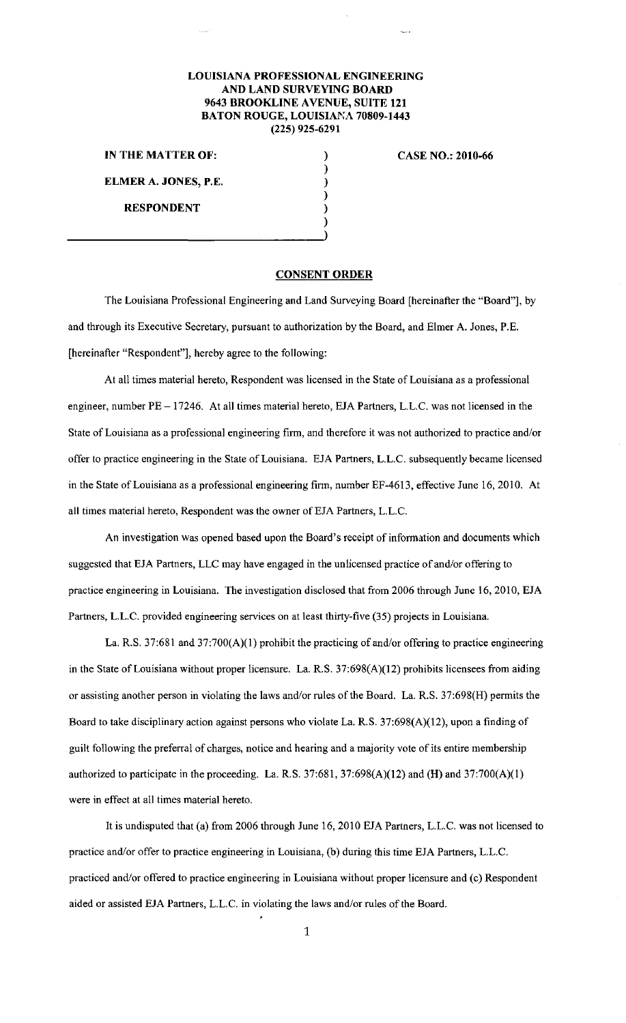## **LOUISIANA PROFESSIONAL ENGINEERING AND LAND SURVEYING BOARD 9643 BROOKLINE AVENUE, SUITE 121 BATON ROUGE, LOUISIANA 70809-1443 (225) 925-6291**

**IN THE MATTER OF: ELMER A. JONES, P.E.** 

**RESPONDENT** 

## **CASE NO.: 2010-66**

**CONSENT ORDER** 

) ) ) ) ) )

The Louisiana Professional Engineering and Land Surveying Board [hereinafter the "Board"], by and through its Executive Secretary, pursuant to authorization by the Board, and Elmer A. Jones, P.E. [hereinafter "Respondent"], hereby agree to the following:

At all times material hereto, Respondent was licensed in the State of Louisiana as a professional engineer, number PE - 17246. At all times material hereto, EJA Partners, L.L.C. was not licensed in the State of Louisiana as a professional engineering firm, and therefore it was not authorized to practice and/or offer to practice engineering in the State of Louisiana. EJA Partners, L.L.C. subsequently became licensed in the State of Louisiana as a professional engineering firm, number EF-4613, effective June 16,2010. At all times material hereto, Respondent was the owner of EJA Partners, L.L.C.

An investigation was opened based upon the Board's receipt of information and documents which suggested that EJA Partners, LLC may have engaged in the unlicensed practice of and/or offering to practice engineering in Louisiana. The investigation disclosed that from 2006 through June 16,2010, EJA Partners, L.L.C. provided engineering services on at least thirty-five (35) projects in Louisiana.

La. R.S. 37:681 and 37:700(A)(I) prohibit the practicing of and/or offering to practice engineering in the State of Louisiana without proper licensure. La. R.S. 37:698(A)(12) prohibits licensees from aiding or assisting another person in violating the laws and/or rules of the Board. La. R.S. 37:698(H) permits the Board to take disciplinary action against persons who violate La. R.S. 37:698(A)(12), upon a finding of guilt following the preferral of charges, notice and hearing and a majority vote of its entire membership authorized to participate in the proceeding. La. R.S. 37:681, 37:698(A)(12) and **(H)** and 37:700(A)(I) were in effect at all times material hereto.

It is undisputed that (a) from 2006 through June 16,2010 EJA Partners, L.L.C. was not licensed to practice and/or offer to practice engineering in Louisiana, (b) during this time EJA Partners, L.L.C. practiced and/or offered to practice engineering in Louisiana without proper licensure and (c) Respondent aided or assisted EJA Partners, L.L.C. in violating the laws and/or rules of the Board.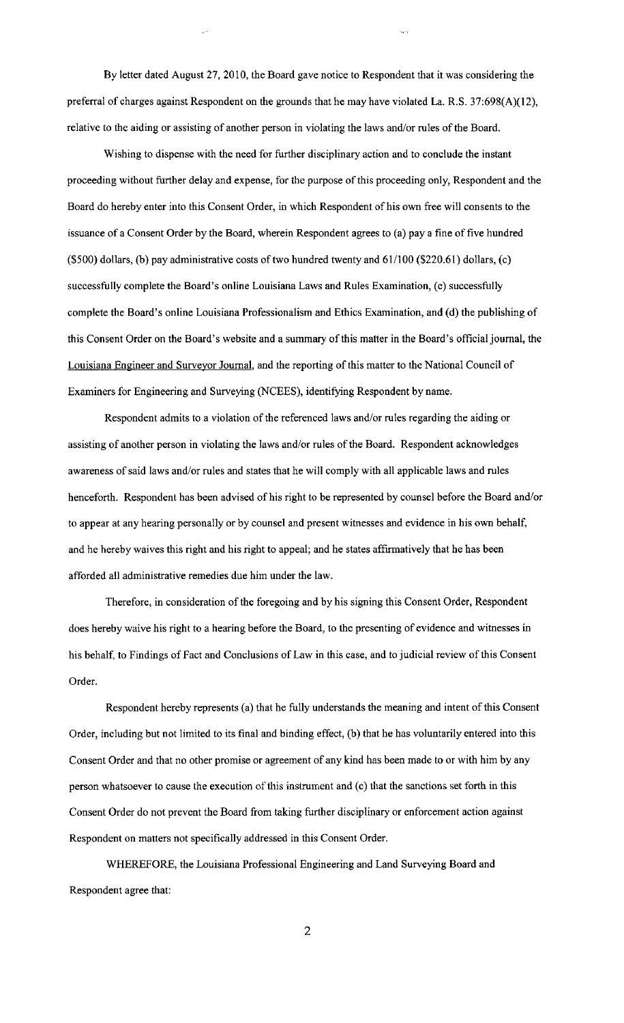By letter dated August 27, 2010, the Board gave notice to Respondent that it was considering the preferral of charges against Respondent on the grounds that he may have violated La. R.S. 37:698(A)(12), relative to the aiding or assisting of another person in violating the laws and/or rules of the Board.

Wishing to dispense with the need for further disciplinary action and to conclude the instant proceeding without further delay and expense, for the purpose of this proceeding only, Respondent and the Board do hereby enter into this Consent Order, in which Respondent of his own free will consents to the issuance of a Consent Order by the Board, wherein Respondent agrees to (a) pay a fine of five hundred (\$500) dollars, (b) pay administrative costs of two hundred twenty and 61/100 (\$220.61) dollars, (c) successfully complete the Board's online Louisiana Laws and Rules Examination, (c) successfully complete the Board's online Louisiana Professionalism and Ethics Examination, and (d) the publishing of this Consent Order on the Board's website and a summary of this matter in the Board's official journal, the Louisiana Engineer and Surveyor Journal, and the reporting of this matter to the National Council of Examiners for Engineering and Surveying (NCEES), identifying Respondent by name.

Respondent admits to a violation of the referenced laws and/or rules regarding the aiding or assisting of another person in violating the laws and/or rules of the Board. Respondent acknowledges awareness of said laws and/or rules and states that he will comply with all applicable laws and rules henceforth. Respondent has been advised of his right to be represented by counsel before the Board and/or to appear at any hearing personally or by counsel and present witnesses and evidence in his own behalf, and he hereby waives this right and his right to appeal; and he states affirmatively that he has been afforded all administrative remedies due him under the law.

Therefore, in consideration of the foregoing and by his signing this Consent Order, Respondent does hereby waive his right to a hearing before the Board, to the presenting of evidence and witnesses in his behalf, to Findings of Fact and Conclusions of Law in this case, and to judicial review of this Consent Order.

Respondent hereby represents (a) that he fully understands the meaning and intent of this Consent Order, including but not limited to its final and binding effect, (b) that he has voluntarily entered into this Consent Order and that no other promise or agreement of any kind has been made to or with him by any person whatsoever to cause the execution of this instrument and (c) that the sanctions set forth in this Consent Order do not prevent the Board from taking further disciplinary or enforcement action against Respondent on matters not specifically addressed in this Consent Order.

WHEREFORE, the Louisiana Professional Engineering and Land Surveying Board and Respondent agree that: